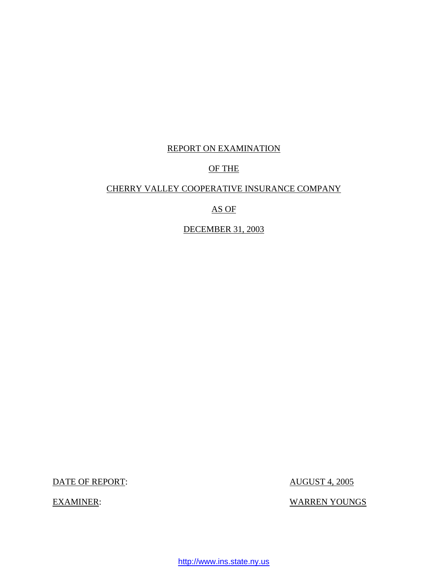### REPORT ON EXAMINATION

## OF THE

### CHERRY VALLEY COOPERATIVE INSURANCE COMPANY

### AS OF

### DECEMBER 31, 2003

DATE OF REPORT: AUGUST 4, 2005

EXAMINER: WARREN YOUNGS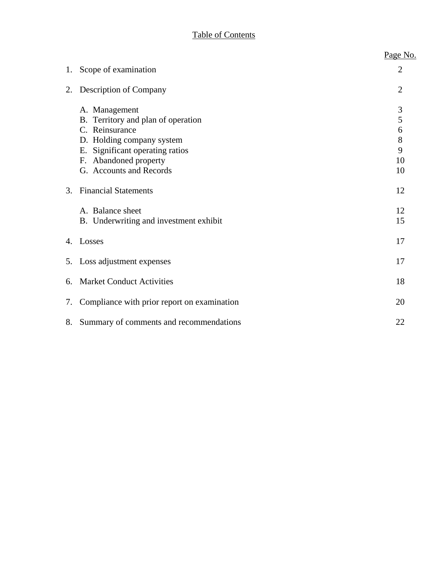# Table of Contents

|    |                                                                                                                                                                                              | Page No.                          |
|----|----------------------------------------------------------------------------------------------------------------------------------------------------------------------------------------------|-----------------------------------|
| 1. | Scope of examination                                                                                                                                                                         | $\overline{2}$                    |
| 2. | Description of Company                                                                                                                                                                       | $\overline{2}$                    |
|    | A. Management<br>B. Territory and plan of operation<br>C. Reinsurance<br>D. Holding company system<br>Significant operating ratios<br>Ε.<br>F. Abandoned property<br>G. Accounts and Records | 3<br>5<br>6<br>8<br>9<br>10<br>10 |
| 3. | <b>Financial Statements</b>                                                                                                                                                                  | 12                                |
|    | A. Balance sheet<br>B. Underwriting and investment exhibit                                                                                                                                   | 12<br>15                          |
|    | 4. Losses                                                                                                                                                                                    | 17                                |
|    | 5. Loss adjustment expenses                                                                                                                                                                  | 17                                |
| 6. | <b>Market Conduct Activities</b>                                                                                                                                                             | 18                                |
| 7. | Compliance with prior report on examination                                                                                                                                                  | 20                                |
| 8. | Summary of comments and recommendations                                                                                                                                                      | 22                                |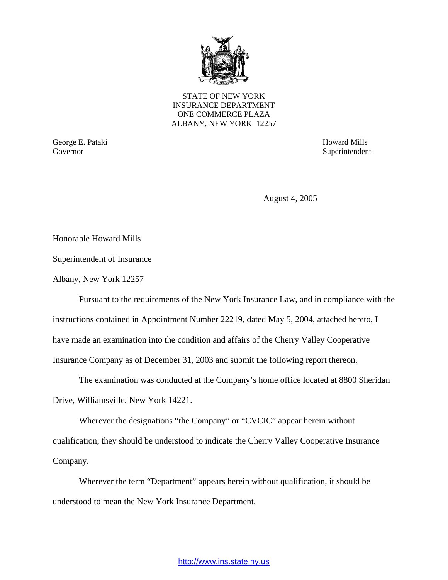

STATE OF NEW YORK INSURANCE DEPARTMENT ONE COMMERCE PLAZA ALBANY, NEW YORK 12257

George E. Pataki Howard Mills Governor Superintendent Superintendent Superintendent Superintendent Superintendent Superintendent Superintendent Superintendent Superintendent Superintendent Superintendent Superintendent Superintendent Superintendent Sup

August 4, 2005

Honorable Howard Mills

Superintendent of Insurance

Albany, New York 12257

Pursuant to the requirements of the New York Insurance Law, and in compliance with the instructions contained in Appointment Number 22219, dated May 5, 2004, attached hereto, I have made an examination into the condition and affairs of the Cherry Valley Cooperative Insurance Company as of December 31, 2003 and submit the following report thereon.

The examination was conducted at the Company's home office located at 8800 Sheridan Drive, Williamsville, New York 14221.

Wherever the designations "the Company" or "CVCIC" appear herein without qualification, they should be understood to indicate the Cherry Valley Cooperative Insurance Company.

Wherever the term "Department" appears herein without qualification, it should be understood to mean the New York Insurance Department.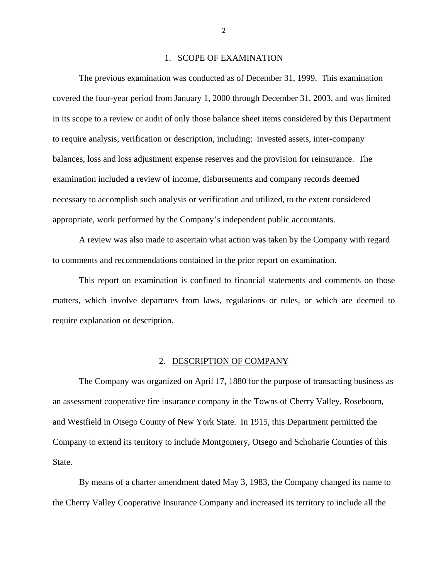#### 1. SCOPE OF EXAMINATION

<span id="page-3-0"></span>The previous examination was conducted as of December 31, 1999. This examination covered the four-year period from January 1, 2000 through December 31, 2003, and was limited in its scope to a review or audit of only those balance sheet items considered by this Department to require analysis, verification or description, including: invested assets, inter-company balances, loss and loss adjustment expense reserves and the provision for reinsurance. The examination included a review of income, disbursements and company records deemed necessary to accomplish such analysis or verification and utilized, to the extent considered appropriate, work performed by the Company's independent public accountants.

A review was also made to ascertain what action was taken by the Company with regard to comments and recommendations contained in the prior report on examination.

This report on examination is confined to financial statements and comments on those matters, which involve departures from laws, regulations or rules, or which are deemed to require explanation or description.

### 2. DESCRIPTION OF COMPANY

The Company was organized on April 17, 1880 for the purpose of transacting business as an assessment cooperative fire insurance company in the Towns of Cherry Valley, Roseboom, and Westfield in Otsego County of New York State. In 1915, this Department permitted the Company to extend its territory to include Montgomery, Otsego and Schoharie Counties of this State.

By means of a charter amendment dated May 3, 1983, the Company changed its name to the Cherry Valley Cooperative Insurance Company and increased its territory to include all the

2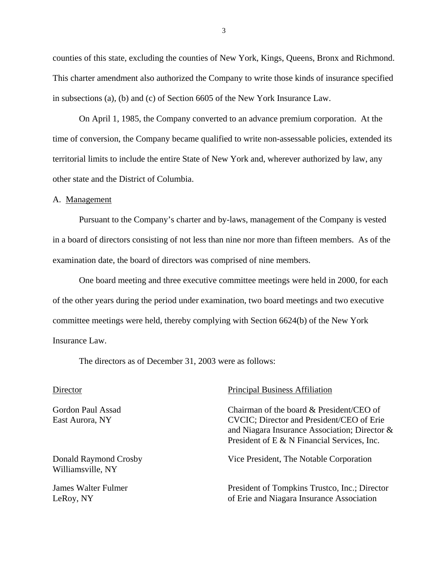<span id="page-4-0"></span>counties of this state, excluding the counties of New York, Kings, Queens, Bronx and Richmond. This charter amendment also authorized the Company to write those kinds of insurance specified in subsections (a), (b) and (c) of Section 6605 of the New York Insurance Law.

On April 1, 1985, the Company converted to an advance premium corporation. At the time of conversion, the Company became qualified to write non-assessable policies, extended its territorial limits to include the entire State of New York and, wherever authorized by law, any other state and the District of Columbia.

#### A. Management

Pursuant to the Company's charter and by-laws, management of the Company is vested in a board of directors consisting of not less than nine nor more than fifteen members. As of the examination date, the board of directors was comprised of nine members.

One board meeting and three executive committee meetings were held in 2000, for each of the other years during the period under examination, two board meetings and two executive committee meetings were held, thereby complying with Section 6624(b) of the New York Insurance Law.

The directors as of December 31, 2003 were as follows:

Williamsville, NY

#### Director Principal Business Affiliation

Gordon Paul Assad Chairman of the board & President/CEO of East Aurora, NY CVCIC; Director and President/CEO of Erie and Niagara Insurance Association; Director & President of E & N Financial Services, Inc.

Donald Raymond Crosby Vice President, The Notable Corporation

James Walter Fulmer President of Tompkins Trustco, Inc.; Director LeRoy, NY **SECUTE:** LeRoy, NY **CONSULATE:** LeRoy, NY

3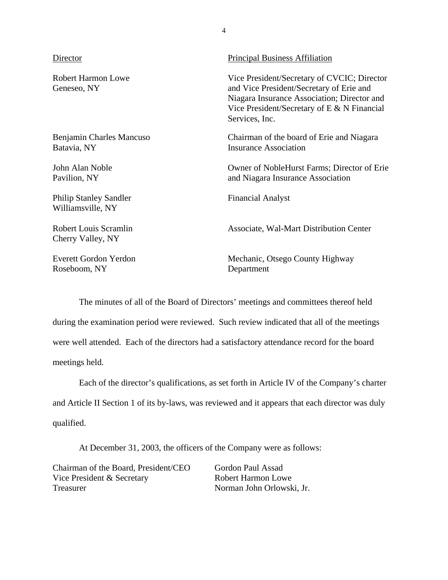| Director                                           | <b>Principal Business Affiliation</b>                                                                                                                                                                     |
|----------------------------------------------------|-----------------------------------------------------------------------------------------------------------------------------------------------------------------------------------------------------------|
| <b>Robert Harmon Lowe</b><br>Geneseo, NY           | Vice President/Secretary of CVCIC; Director<br>and Vice President/Secretary of Erie and<br>Niagara Insurance Association; Director and<br>Vice President/Secretary of E $&$ N Financial<br>Services, Inc. |
| Benjamin Charles Mancuso<br>Batavia, NY            | Chairman of the board of Erie and Niagara<br><b>Insurance Association</b>                                                                                                                                 |
| John Alan Noble<br>Pavilion, NY                    | Owner of NobleHurst Farms; Director of Erie<br>and Niagara Insurance Association                                                                                                                          |
| <b>Philip Stanley Sandler</b><br>Williamsville, NY | <b>Financial Analyst</b>                                                                                                                                                                                  |
| <b>Robert Louis Scramlin</b><br>Cherry Valley, NY  | Associate, Wal-Mart Distribution Center                                                                                                                                                                   |
| Everett Gordon Yerdon<br>Roseboom, NY              | Mechanic, Otsego County Highway<br>Department                                                                                                                                                             |

4

The minutes of all of the Board of Directors' meetings and committees thereof held during the examination period were reviewed. Such review indicated that all of the meetings were well attended. Each of the directors had a satisfactory attendance record for the board meetings held.

Each of the director's qualifications, as set forth in Article IV of the Company's charter and Article II Section 1 of its by-laws, was reviewed and it appears that each director was duly qualified.

At December 31, 2003, the officers of the Company were as follows:

Chairman of the Board, President/CEO Gordon Paul Assad Vice President & Secretary Robert Harmon Lowe Treasurer Norman John Orlowski, Jr.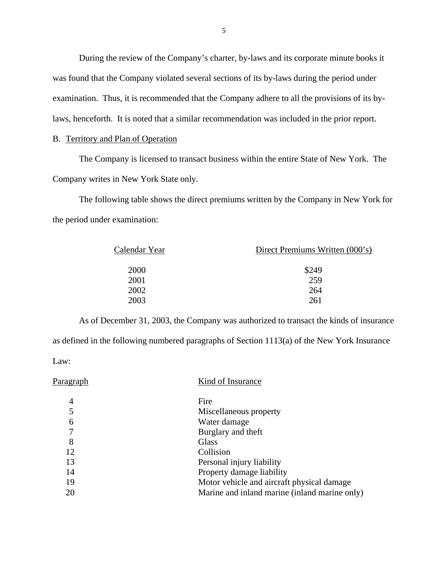During the review of the Company's charter, by-laws and its corporate minute books it was found that the Company violated several sections of its by-laws during the period under examination. Thus, it is recommended that the Company adhere to all the provisions of its bylaws, henceforth. It is noted that a similar recommendation was included in the prior report.

### B. Territory and Plan of Operation

The Company is licensed to transact business within the entire State of New York. The Company writes in New York State only.

The following table shows the direct premiums written by the Company in New York for the period under examination:

| Calendar Year | Direct Premiums Written (000's) |  |  |
|---------------|---------------------------------|--|--|
| 2000          | \$249                           |  |  |
| 2001          | 259                             |  |  |
| 2002          | 264                             |  |  |
| 2003          | 261                             |  |  |
|               |                                 |  |  |

As of December 31, 2003, the Company was authorized to transact the kinds of insurance as defined in the following numbered paragraphs of Section 1113(a) of the New York Insurance Law:

| Paragraph | Kind of Insurance                             |
|-----------|-----------------------------------------------|
| 4         | Fire                                          |
|           | Miscellaneous property                        |
| 6         | Water damage                                  |
| 7         | Burglary and theft                            |
| 8         | Glass                                         |
| 12        | Collision                                     |
| 13        | Personal injury liability                     |
| 14        | Property damage liability                     |
| 19        | Motor vehicle and aircraft physical damage    |
| 20        | Marine and inland marine (inland marine only) |
|           |                                               |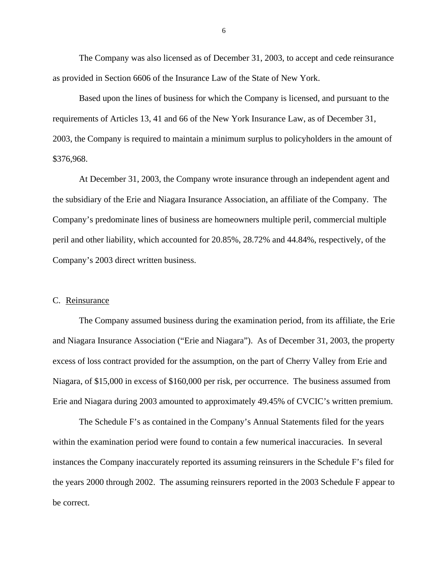<span id="page-7-0"></span>The Company was also licensed as of December 31, 2003, to accept and cede reinsurance as provided in Section 6606 of the Insurance Law of the State of New York.

Based upon the lines of business for which the Company is licensed, and pursuant to the requirements of Articles 13, 41 and 66 of the New York Insurance Law, as of December 31, 2003, the Company is required to maintain a minimum surplus to policyholders in the amount of \$376,968.

At December 31, 2003, the Company wrote insurance through an independent agent and the subsidiary of the Erie and Niagara Insurance Association, an affiliate of the Company. The Company's predominate lines of business are homeowners multiple peril, commercial multiple peril and other liability, which accounted for 20.85%, 28.72% and 44.84%, respectively, of the Company's 2003 direct written business.

### C. Reinsurance

The Company assumed business during the examination period, from its affiliate, the Erie and Niagara Insurance Association ("Erie and Niagara"). As of December 31, 2003, the property excess of loss contract provided for the assumption, on the part of Cherry Valley from Erie and Niagara, of \$15,000 in excess of \$160,000 per risk, per occurrence. The business assumed from Erie and Niagara during 2003 amounted to approximately 49.45% of CVCIC's written premium.

The Schedule F's as contained in the Company's Annual Statements filed for the years within the examination period were found to contain a few numerical inaccuracies. In several instances the Company inaccurately reported its assuming reinsurers in the Schedule F's filed for the years 2000 through 2002. The assuming reinsurers reported in the 2003 Schedule F appear to be correct.

6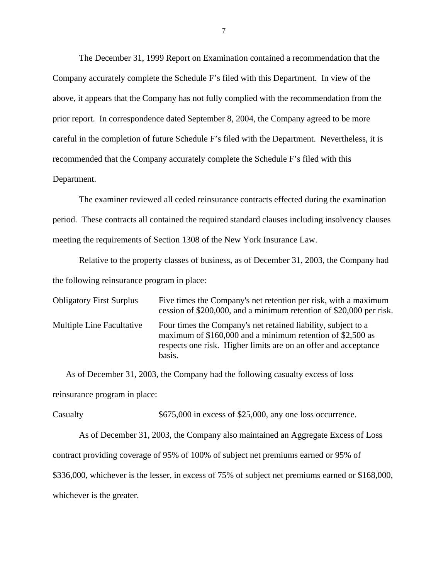The December 31, 1999 Report on Examination contained a recommendation that the Company accurately complete the Schedule F's filed with this Department. In view of the above, it appears that the Company has not fully complied with the recommendation from the prior report. In correspondence dated September 8, 2004, the Company agreed to be more careful in the completion of future Schedule F's filed with the Department. Nevertheless, it is recommended that the Company accurately complete the Schedule F's filed with this Department.

The examiner reviewed all ceded reinsurance contracts effected during the examination period. These contracts all contained the required standard clauses including insolvency clauses meeting the requirements of Section 1308 of the New York Insurance Law.

Relative to the property classes of business, as of December 31, 2003, the Company had the following reinsurance program in place:

| <b>Obligatory First Surplus</b>  | Five times the Company's net retention per risk, with a maximum<br>cession of \$200,000, and a minimum retention of \$20,000 per risk.                                                                   |
|----------------------------------|----------------------------------------------------------------------------------------------------------------------------------------------------------------------------------------------------------|
| <b>Multiple Line Facultative</b> | Four times the Company's net retained liability, subject to a<br>maximum of \$160,000 and a minimum retention of \$2,500 as<br>respects one risk. Higher limits are on an offer and acceptance<br>basis. |

As of December 31, 2003, the Company had the following casualty excess of loss reinsurance program in place:

Casualty  $$675,000$  in excess of \$25,000, any one loss occurrence.

As of December 31, 2003, the Company also maintained an Aggregate Excess of Loss contract providing coverage of 95% of 100% of subject net premiums earned or 95% of \$336,000, whichever is the lesser, in excess of 75% of subject net premiums earned or \$168,000, whichever is the greater.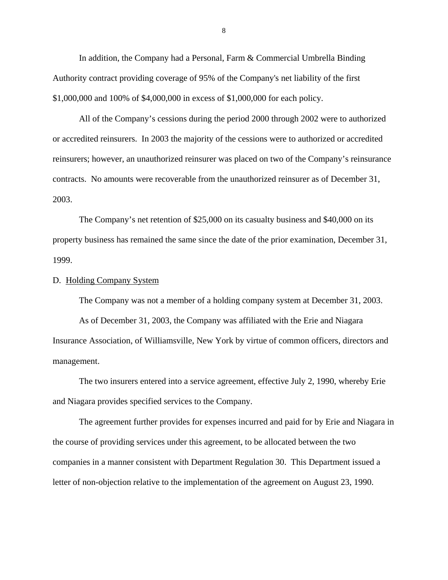<span id="page-9-0"></span>In addition, the Company had a Personal, Farm & Commercial Umbrella Binding Authority contract providing coverage of 95% of the Company's net liability of the first \$1,000,000 and 100% of \$4,000,000 in excess of \$1,000,000 for each policy.

All of the Company's cessions during the period 2000 through 2002 were to authorized or accredited reinsurers. In 2003 the majority of the cessions were to authorized or accredited reinsurers; however, an unauthorized reinsurer was placed on two of the Company's reinsurance contracts. No amounts were recoverable from the unauthorized reinsurer as of December 31, 2003.

The Company's net retention of \$25,000 on its casualty business and \$40,000 on its property business has remained the same since the date of the prior examination, December 31, 1999.

### D. Holding Company System

The Company was not a member of a holding company system at December 31, 2003. As of December 31, 2003, the Company was affiliated with the Erie and Niagara Insurance Association, of Williamsville, New York by virtue of common officers, directors and management.

The two insurers entered into a service agreement, effective July 2, 1990, whereby Erie and Niagara provides specified services to the Company.

The agreement further provides for expenses incurred and paid for by Erie and Niagara in the course of providing services under this agreement, to be allocated between the two companies in a manner consistent with Department Regulation 30. This Department issued a letter of non-objection relative to the implementation of the agreement on August 23, 1990.

8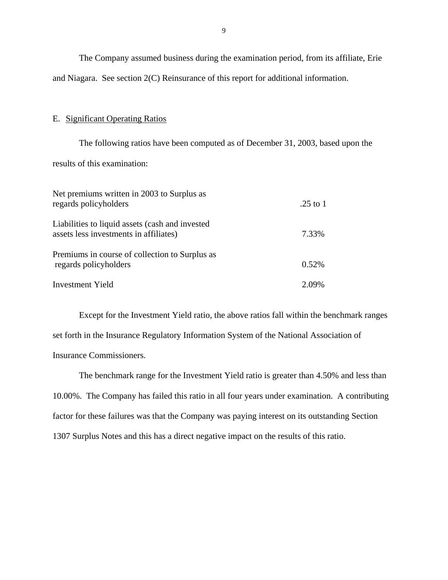<span id="page-10-0"></span>The Company assumed business during the examination period, from its affiliate, Erie and Niagara. See section 2(C) Reinsurance of this report for additional information.

### E. Significant Operating Ratios

The following ratios have been computed as of December 31, 2003, based upon the results of this examination:

| Net premiums written in 2003 to Surplus as<br>regards policyholders                       | .25 to 1 |
|-------------------------------------------------------------------------------------------|----------|
| Liabilities to liquid assets (cash and invested<br>assets less investments in affiliates) | 7.33%    |
| Premiums in course of collection to Surplus as<br>regards policyholders                   | 0.52%    |
| <b>Investment Yield</b>                                                                   | 2.09%    |

Except for the Investment Yield ratio, the above ratios fall within the benchmark ranges set forth in the Insurance Regulatory Information System of the National Association of Insurance Commissioners.

The benchmark range for the Investment Yield ratio is greater than 4.50% and less than 10.00%. The Company has failed this ratio in all four years under examination. A contributing factor for these failures was that the Company was paying interest on its outstanding Section 1307 Surplus Notes and this has a direct negative impact on the results of this ratio.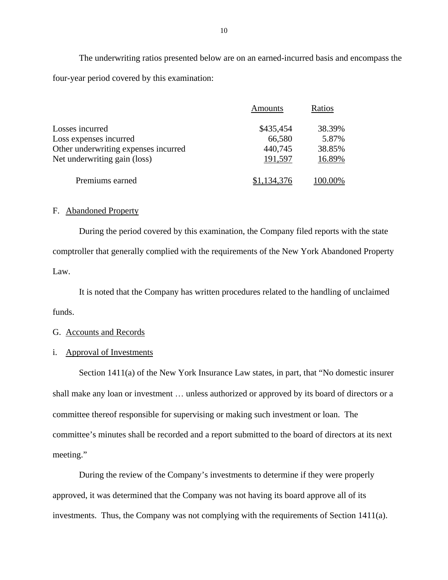The underwriting ratios presented below are on an earned-incurred basis and encompass the four-year period covered by this examination:

|                                      | Amounts     | Ratios  |
|--------------------------------------|-------------|---------|
| Losses incurred                      | \$435,454   | 38.39%  |
| Loss expenses incurred               | 66,580      | 5.87%   |
| Other underwriting expenses incurred | 440,745     | 38.85%  |
| Net underwriting gain (loss)         | 191,597     | 16.89%  |
| Premiums earned                      | \$1,134,376 | 100.00% |

### F. Abandoned Property

During the period covered by this examination, the Company filed reports with the state comptroller that generally complied with the requirements of the New York Abandoned Property Law.

It is noted that the Company has written procedures related to the handling of unclaimed funds.

### G. Accounts and Records

### i. Approval of Investments

Section 1411(a) of the New York Insurance Law states, in part, that "No domestic insurer shall make any loan or investment … unless authorized or approved by its board of directors or a committee thereof responsible for supervising or making such investment or loan. The committee's minutes shall be recorded and a report submitted to the board of directors at its next meeting."

During the review of the Company's investments to determine if they were properly approved, it was determined that the Company was not having its board approve all of its investments. Thus, the Company was not complying with the requirements of Section 1411(a).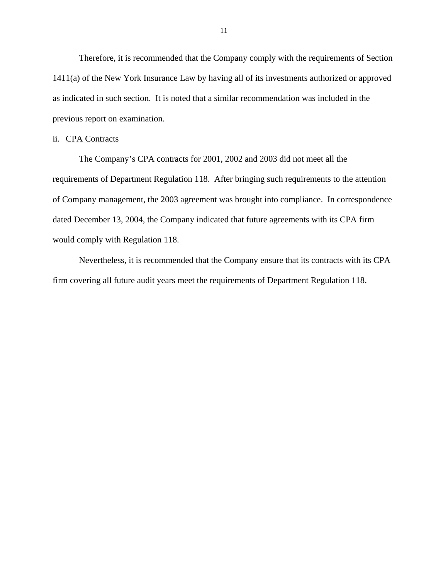Therefore, it is recommended that the Company comply with the requirements of Section 1411(a) of the New York Insurance Law by having all of its investments authorized or approved as indicated in such section. It is noted that a similar recommendation was included in the previous report on examination.

#### ii. CPA Contracts

The Company's CPA contracts for 2001, 2002 and 2003 did not meet all the requirements of Department Regulation 118. After bringing such requirements to the attention of Company management, the 2003 agreement was brought into compliance. In correspondence dated December 13, 2004, the Company indicated that future agreements with its CPA firm would comply with Regulation 118.

Nevertheless, it is recommended that the Company ensure that its contracts with its CPA firm covering all future audit years meet the requirements of Department Regulation 118.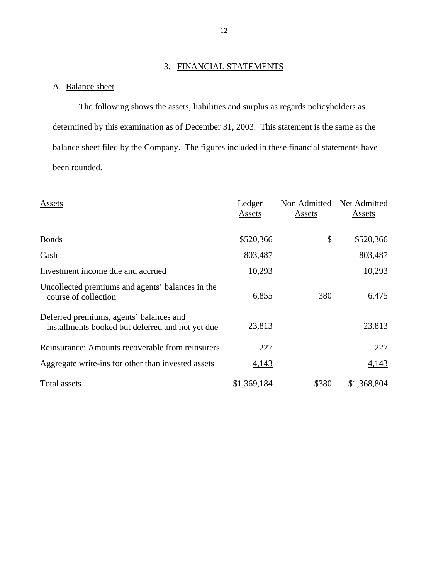### 3. FINANCIAL STATEMENTS

## <span id="page-13-0"></span>A. Balance sheet

The following shows the assets, liabilities and surplus as regards policyholders as determined by this examination as of December 31, 2003. This statement is the same as the balance sheet filed by the Company. The figures included in these financial statements have been rounded.

| Assets                                                                                      | Ledger<br>Assets | Non Admitted<br><b>Assets</b> | Net Admitted<br>Assets |
|---------------------------------------------------------------------------------------------|------------------|-------------------------------|------------------------|
| <b>Bonds</b>                                                                                | \$520,366        | \$                            | \$520,366              |
| Cash                                                                                        | 803,487          |                               | 803,487                |
| Investment income due and accrued                                                           | 10,293           |                               | 10,293                 |
| Uncollected premiums and agents' balances in the<br>course of collection                    | 6,855            | 380                           | 6,475                  |
| Deferred premiums, agents' balances and<br>installments booked but deferred and not yet due | 23,813           |                               | 23,813                 |
| Reinsurance: Amounts recoverable from reinsurers                                            | 227              |                               | 227                    |
| Aggregate write-ins for other than invested assets                                          | 4,143            |                               | 4,143                  |
| Total assets                                                                                | \$1,369,184      | \$380                         | \$1,368,804            |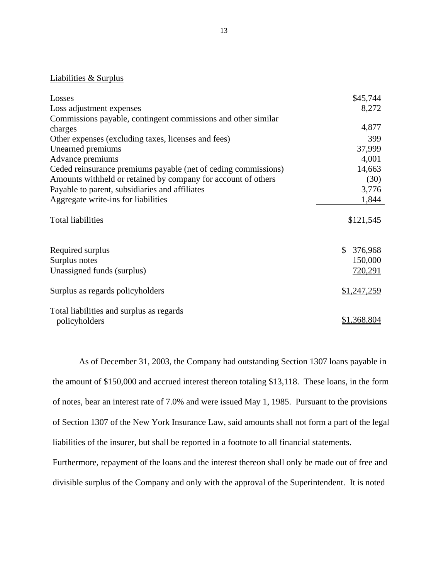### Liabilities & Surplus

| Losses                                                          | \$45,744                                      |
|-----------------------------------------------------------------|-----------------------------------------------|
| Loss adjustment expenses                                        | 8,272                                         |
| Commissions payable, contingent commissions and other similar   |                                               |
| charges                                                         | 4,877                                         |
| Other expenses (excluding taxes, licenses and fees)             | 399                                           |
| Unearned premiums                                               | 37,999                                        |
| Advance premiums                                                | 4,001                                         |
| Ceded reinsurance premiums payable (net of ceding commissions)  | 14,663                                        |
| Amounts withheld or retained by company for account of others   | (30)                                          |
| Payable to parent, subsidiaries and affiliates                  | 3,776                                         |
| Aggregate write-ins for liabilities                             | 1,844                                         |
| <b>Total liabilities</b>                                        | \$121,545                                     |
| Required surplus<br>Surplus notes<br>Unassigned funds (surplus) | 376,968<br>$\mathbb{S}$<br>150,000<br>720,291 |
| Surplus as regards policyholders                                | \$1,247,259                                   |
| Total liabilities and surplus as regards<br>policyholders       | \$1,368,804                                   |

As of December 31, 2003, the Company had outstanding Section 1307 loans payable in the amount of \$150,000 and accrued interest thereon totaling \$13,118. These loans, in the form of notes, bear an interest rate of 7.0% and were issued May 1, 1985. Pursuant to the provisions of Section 1307 of the New York Insurance Law, said amounts shall not form a part of the legal liabilities of the insurer, but shall be reported in a footnote to all financial statements.

Furthermore, repayment of the loans and the interest thereon shall only be made out of free and divisible surplus of the Company and only with the approval of the Superintendent. It is noted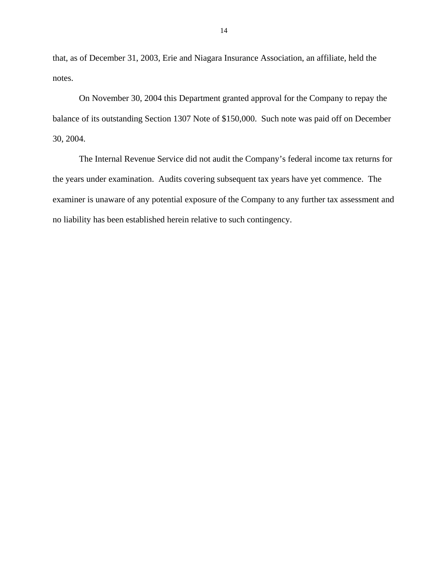that, as of December 31, 2003, Erie and Niagara Insurance Association, an affiliate, held the notes.

On November 30, 2004 this Department granted approval for the Company to repay the balance of its outstanding Section 1307 Note of \$150,000. Such note was paid off on December 30, 2004.

The Internal Revenue Service did not audit the Company's federal income tax returns for the years under examination. Audits covering subsequent tax years have yet commence. The examiner is unaware of any potential exposure of the Company to any further tax assessment and no liability has been established herein relative to such contingency.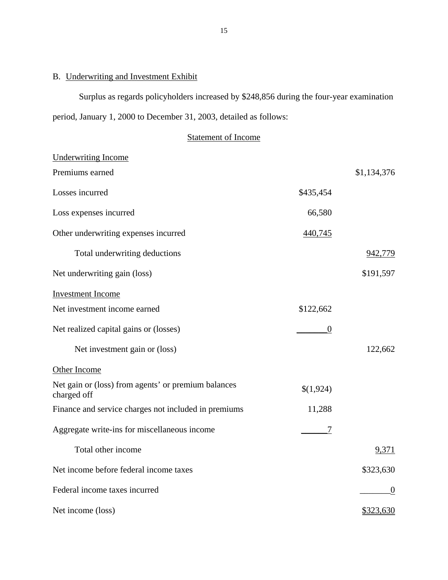### <span id="page-16-0"></span>B. Underwriting and Investment Exhibit

Surplus as regards policyholders increased by \$248,856 during the four-year examination period, January 1, 2000 to December 31, 2003, detailed as follows:

Statement of Income

| <b>Underwriting Income</b>                                         |           |             |
|--------------------------------------------------------------------|-----------|-------------|
| Premiums earned                                                    |           | \$1,134,376 |
| Losses incurred                                                    | \$435,454 |             |
| Loss expenses incurred                                             | 66,580    |             |
| Other underwriting expenses incurred                               | 440,745   |             |
| Total underwriting deductions                                      |           | 942,779     |
| Net underwriting gain (loss)                                       |           | \$191,597   |
| <b>Investment Income</b>                                           |           |             |
| Net investment income earned                                       | \$122,662 |             |
| Net realized capital gains or (losses)                             | $\theta$  |             |
| Net investment gain or (loss)                                      |           | 122,662     |
| <b>Other Income</b>                                                |           |             |
| Net gain or (loss) from agents' or premium balances<br>charged off | \$(1,924) |             |
| Finance and service charges not included in premiums               | 11,288    |             |
| Aggregate write-ins for miscellaneous income                       | 7         |             |
| Total other income                                                 |           | 9,371       |
| Net income before federal income taxes                             |           | \$323,630   |
| Federal income taxes incurred                                      |           | $\theta$    |
| Net income (loss)                                                  |           | \$323,630   |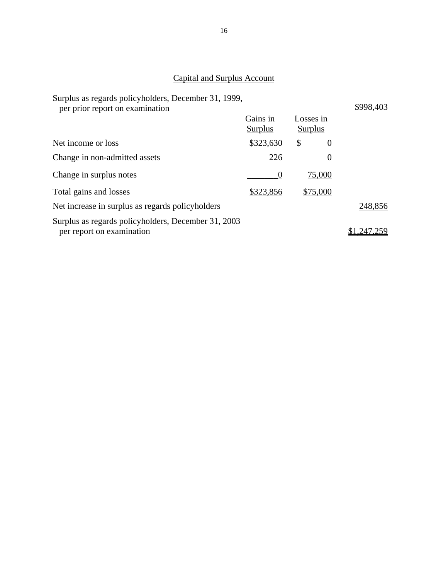# Capital and Surplus Account

| Surplus as regards policyholders, December 31, 1999,<br>per prior report on examination |                     |                      |          | \$998,403 |
|-----------------------------------------------------------------------------------------|---------------------|----------------------|----------|-----------|
|                                                                                         | Gains in<br>Surplus | Losses in<br>Surplus |          |           |
| Net income or loss                                                                      | \$323,630           | \$                   | $\theta$ |           |
| Change in non-admitted assets                                                           | 226                 |                      | $\theta$ |           |
| Change in surplus notes                                                                 | $\theta$            |                      | 75,000   |           |
| Total gains and losses                                                                  | \$323,856           |                      | \$75,000 |           |
| Net increase in surplus as regards policyholders                                        |                     |                      |          | 248,856   |
| Surplus as regards policyholders, December 31, 2003<br>per report on examination        |                     |                      |          | .247      |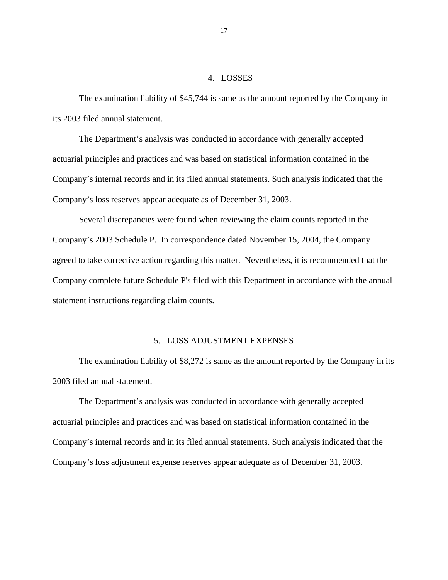### 4. LOSSES

<span id="page-18-0"></span>The examination liability of \$45,744 is same as the amount reported by the Company in its 2003 filed annual statement.

The Department's analysis was conducted in accordance with generally accepted actuarial principles and practices and was based on statistical information contained in the Company's internal records and in its filed annual statements. Such analysis indicated that the Company's loss reserves appear adequate as of December 31, 2003.

Several discrepancies were found when reviewing the claim counts reported in the Company's 2003 Schedule P. In correspondence dated November 15, 2004, the Company agreed to take corrective action regarding this matter. Nevertheless, it is recommended that the Company complete future Schedule P's filed with this Department in accordance with the annual statement instructions regarding claim counts.

### 5. LOSS ADJUSTMENT EXPENSES

The examination liability of \$8,272 is same as the amount reported by the Company in its 2003 filed annual statement.

The Department's analysis was conducted in accordance with generally accepted actuarial principles and practices and was based on statistical information contained in the Company's internal records and in its filed annual statements. Such analysis indicated that the Company's loss adjustment expense reserves appear adequate as of December 31, 2003.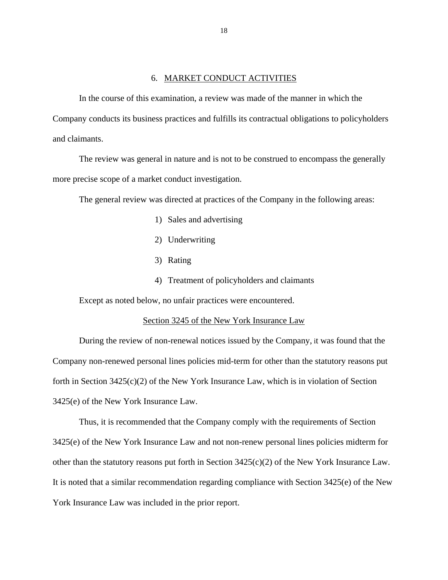### 6. MARKET CONDUCT ACTIVITIES

<span id="page-19-0"></span>In the course of this examination, a review was made of the manner in which the Company conducts its business practices and fulfills its contractual obligations to policyholders and claimants.

The review was general in nature and is not to be construed to encompass the generally more precise scope of a market conduct investigation.

The general review was directed at practices of the Company in the following areas:

- 1) Sales and advertising
- 2) Underwriting
- 3) Rating
- 4) Treatment of policyholders and claimants

Except as noted below, no unfair practices were encountered.

#### Section 3245 of the New York Insurance Law

During the review of non-renewal notices issued by the Company, it was found that the Company non-renewed personal lines policies mid-term for other than the statutory reasons put forth in Section  $3425(c)(2)$  of the New York Insurance Law, which is in violation of Section 3425(e) of the New York Insurance Law.

Thus, it is recommended that the Company comply with the requirements of Section 3425(e) of the New York Insurance Law and not non-renew personal lines policies midterm for other than the statutory reasons put forth in Section 3425(c)(2) of the New York Insurance Law. It is noted that a similar recommendation regarding compliance with Section 3425(e) of the New York Insurance Law was included in the prior report.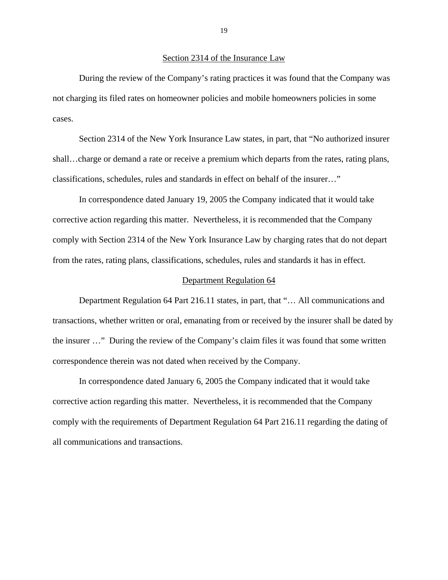During the review of the Company's rating practices it was found that the Company was not charging its filed rates on homeowner policies and mobile homeowners policies in some cases.

Section 2314 of the New York Insurance Law states, in part, that "No authorized insurer shall…charge or demand a rate or receive a premium which departs from the rates, rating plans, classifications, schedules, rules and standards in effect on behalf of the insurer…"

In correspondence dated January 19, 2005 the Company indicated that it would take corrective action regarding this matter. Nevertheless, it is recommended that the Company comply with Section 2314 of the New York Insurance Law by charging rates that do not depart from the rates, rating plans, classifications, schedules, rules and standards it has in effect.

#### Department Regulation 64

Department Regulation 64 Part 216.11 states, in part, that "… All communications and transactions, whether written or oral, emanating from or received by the insurer shall be dated by the insurer …" During the review of the Company's claim files it was found that some written correspondence therein was not dated when received by the Company.

In correspondence dated January 6, 2005 the Company indicated that it would take corrective action regarding this matter. Nevertheless, it is recommended that the Company comply with the requirements of Department Regulation 64 Part 216.11 regarding the dating of all communications and transactions.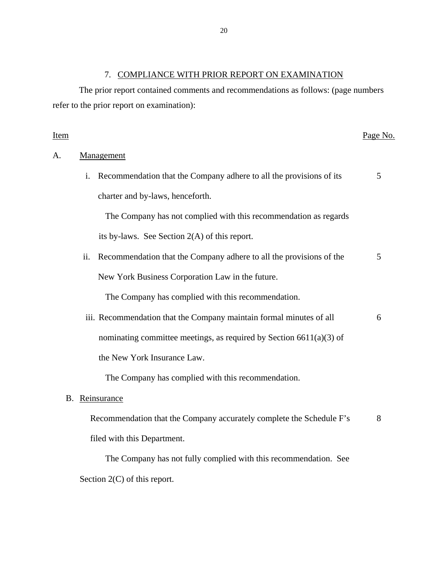# 7. COMPLIANCE WITH PRIOR REPORT ON EXAMINATION

The prior report contained comments and recommendations as follows: (page numbers refer to the prior report on examination):

| <u>Item</u> |     |                                                                        | Page No. |
|-------------|-----|------------------------------------------------------------------------|----------|
| А.          |     | Management                                                             |          |
|             |     | i. Recommendation that the Company adhere to all the provisions of its | 5        |
|             |     | charter and by-laws, henceforth.                                       |          |
|             |     | The Company has not complied with this recommendation as regards       |          |
|             |     | its by-laws. See Section $2(A)$ of this report.                        |          |
|             | ii. | Recommendation that the Company adhere to all the provisions of the    | 5        |
|             |     | New York Business Corporation Law in the future.                       |          |
|             |     | The Company has complied with this recommendation.                     |          |
|             |     | iii. Recommendation that the Company maintain formal minutes of all    | 6        |
|             |     | nominating committee meetings, as required by Section $6611(a)(3)$ of  |          |
|             |     | the New York Insurance Law.                                            |          |
|             |     | The Company has complied with this recommendation.                     |          |
|             |     | B. Reinsurance                                                         |          |
|             |     | Recommendation that the Company accurately complete the Schedule F's   | 8        |
|             |     | filed with this Department.                                            |          |
|             |     | The Company has not fully complied with this recommendation. See       |          |
|             |     | Section $2(C)$ of this report.                                         |          |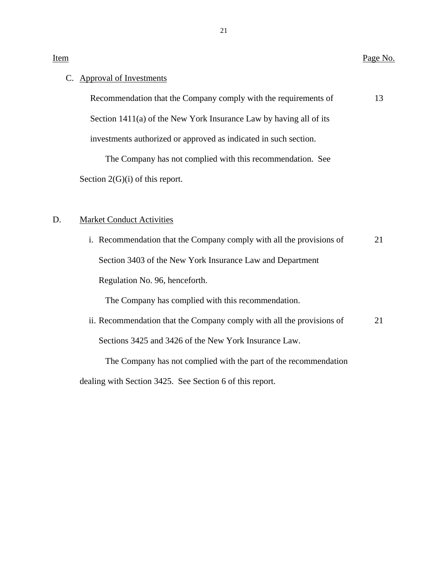### C. Approval of Investments

Recommendation that the Company comply with the requirements of 13 Section 1411(a) of the New York Insurance Law by having all of its investments authorized or approved as indicated in such section.

The Company has not complied with this recommendation. See Section 2(G)(i) of this report.

### D. Market Conduct Activities

 i. Recommendation that the Company comply with all the provisions of 21 Section 3403 of the New York Insurance Law and Department Regulation No. 96, henceforth.

The Company has complied with this recommendation.

ii. Recommendation that the Company comply with all the provisions of 21 Sections 3425 and 3426 of the New York Insurance Law.

The Company has not complied with the part of the recommendation

dealing with Section 3425. See Section 6 of this report.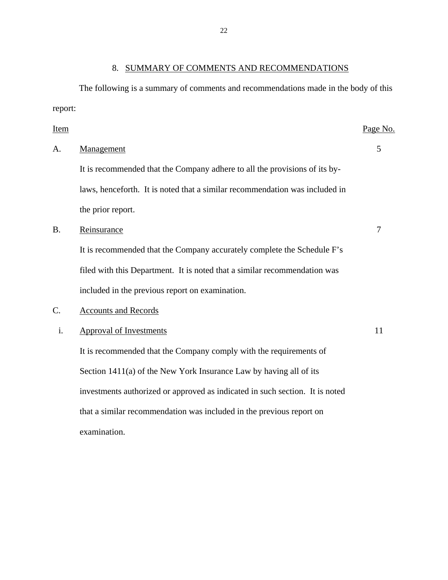# 8. SUMMARY OF COMMENTS AND RECOMMENDATIONS

<span id="page-23-0"></span>The following is a summary of comments and recommendations made in the body of this report:

| <b>Item</b> |                                                                              | Page No.       |
|-------------|------------------------------------------------------------------------------|----------------|
| А.          | Management                                                                   | 5              |
|             | It is recommended that the Company adhere to all the provisions of its by-   |                |
|             | laws, henceforth. It is noted that a similar recommendation was included in  |                |
|             | the prior report.                                                            |                |
| <b>B.</b>   | Reinsurance                                                                  | $\overline{7}$ |
|             | It is recommended that the Company accurately complete the Schedule F's      |                |
|             | filed with this Department. It is noted that a similar recommendation was    |                |
|             | included in the previous report on examination.                              |                |
| $C$ .       | <b>Accounts and Records</b>                                                  |                |
| i.          | <b>Approval of Investments</b>                                               | 11             |
|             | It is recommended that the Company comply with the requirements of           |                |
|             | Section 1411(a) of the New York Insurance Law by having all of its           |                |
|             | investments authorized or approved as indicated in such section. It is noted |                |
|             | that a similar recommendation was included in the previous report on         |                |
|             | examination.                                                                 |                |
|             |                                                                              |                |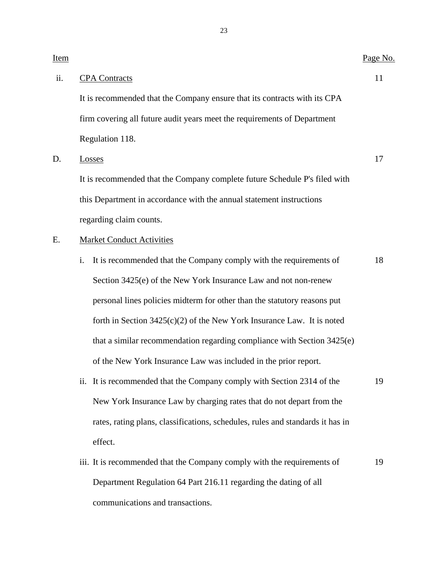| Item |                                                                                | Page No. |  |  |
|------|--------------------------------------------------------------------------------|----------|--|--|
| ii.  | <b>CPA</b> Contracts                                                           | 11       |  |  |
|      | It is recommended that the Company ensure that its contracts with its CPA      |          |  |  |
|      | firm covering all future audit years meet the requirements of Department       |          |  |  |
|      | Regulation 118.                                                                |          |  |  |
| D.   | Losses                                                                         | 17       |  |  |
|      | It is recommended that the Company complete future Schedule P's filed with     |          |  |  |
|      | this Department in accordance with the annual statement instructions           |          |  |  |
|      | regarding claim counts.                                                        |          |  |  |
| Ε.   | <b>Market Conduct Activities</b>                                               |          |  |  |
|      | It is recommended that the Company comply with the requirements of<br>i.       | 18       |  |  |
|      | Section 3425(e) of the New York Insurance Law and not non-renew                |          |  |  |
|      | personal lines policies midterm for other than the statutory reasons put       |          |  |  |
|      | forth in Section $3425(c)(2)$ of the New York Insurance Law. It is noted       |          |  |  |
|      | that a similar recommendation regarding compliance with Section 3425(e)        |          |  |  |
|      | of the New York Insurance Law was included in the prior report.                |          |  |  |
|      | ii. It is recommended that the Company comply with Section 2314 of the         | 19       |  |  |
|      | New York Insurance Law by charging rates that do not depart from the           |          |  |  |
|      | rates, rating plans, classifications, schedules, rules and standards it has in |          |  |  |

effect.

iii. It is recommended that the Company comply with the requirements of 19 Department Regulation 64 Part 216.11 regarding the dating of all communications and transactions.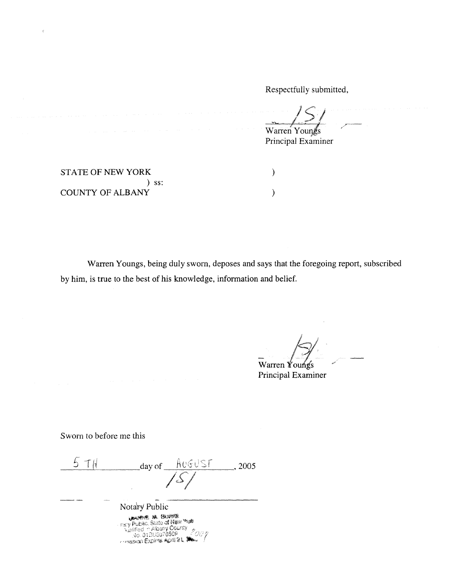Respectfully submitted,

 $Warren$  Youngs

Principal Examiner

STATE OF NEW YORK  $($ ) ss: COUNTY OF ALBANY (1999)

 $\bar{\xi}$ 

Warren Youngs, being duly sworn, deposes and says that the foregoing report, subscribed by him, is true to the best of his knowledge, information and belief.

 $\mathbb{R}$ 

Warren Youngs Principal Examiner

Sworn to before me this

| $day of$ $AUSUST$                                                                                                     | 2005 |
|-----------------------------------------------------------------------------------------------------------------------|------|
|                                                                                                                       |      |
| Notary Public                                                                                                         |      |
| <b>UNITE M. BUYOR</b><br>- mary Public, State of New Year<br><b>Walified in Albany County</b><br>No. 018U5076509 2007 |      |